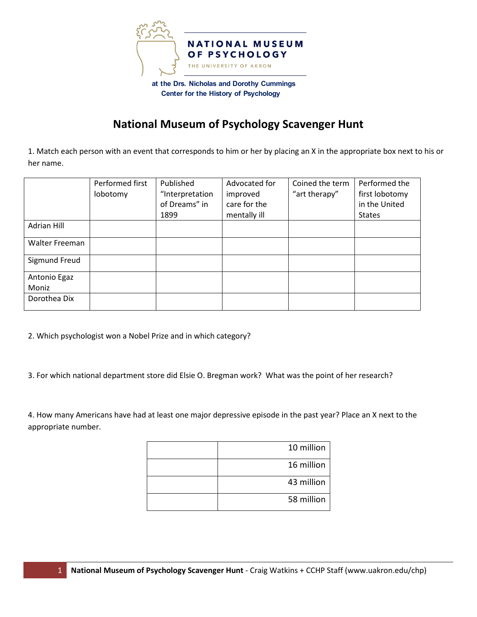

## **National Museum of Psychology Scavenger Hunt**

1. Match each person with an event that corresponds to him or her by placing an X in the appropriate box next to his or her name.

|                    | Performed first | Published       | Advocated for | Coined the term | Performed the  |
|--------------------|-----------------|-----------------|---------------|-----------------|----------------|
|                    | lobotomy        | "Interpretation | improved      | "art therapy"   | first lobotomy |
|                    |                 | of Dreams" in   | care for the  |                 | in the United  |
|                    |                 | 1899            | mentally ill  |                 | <b>States</b>  |
| <b>Adrian Hill</b> |                 |                 |               |                 |                |
| Walter Freeman     |                 |                 |               |                 |                |
| Sigmund Freud      |                 |                 |               |                 |                |
| Antonio Egaz       |                 |                 |               |                 |                |
| Moniz              |                 |                 |               |                 |                |
| Dorothea Dix       |                 |                 |               |                 |                |

2. Which psychologist won a Nobel Prize and in which category?

3. For which national department store did Elsie O. Bregman work? What was the point of her research?

4. How many Americans have had at least one major depressive episode in the past year? Place an X next to the appropriate number.

| 10 million |
|------------|
| 16 million |
| 43 million |
| 58 million |